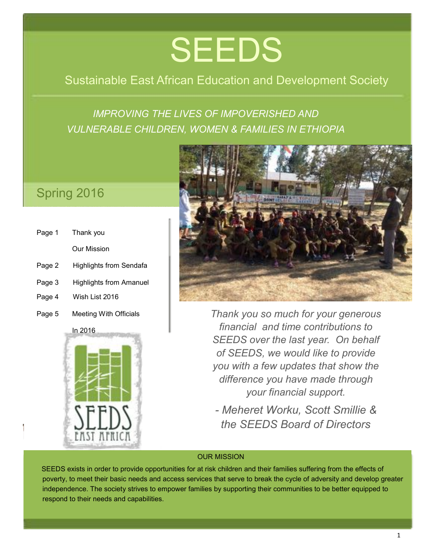# **SEEDS**

## Sustainable East African Education and Development Society

## *IMPROVING THE LIVES OF IMPOVERISHED AND VULNERABLE CHILDREN, WOMEN & FAMILIES IN ETHIOPIA*

## Spring 2016

- Page 1 Thank you Our Mission
- Page 2 Highlights from Sendafa
- Page 3 Highlights from Amanuel
- Page 4 Wish List 2016
- Page 5 Meeting With Officials





*Thank you so much for your generous financial and time contributions to SEEDS over the last year. On behalf of SEEDS, we would like to provide you with a few updates that show the difference you have made through your financial support.*

*- Meheret Worku, Scott Smillie & the SEEDS Board of Directors*

#### OUR MISSION

SEEDS exists in order to provide opportunities for at risk children and their families suffering from the effects of poverty, to meet their basic needs and access services that serve to break the cycle of adversity and develop greater independence. The society strives to empower families by supporting their communities to be better equipped to respond to their needs and capabilities.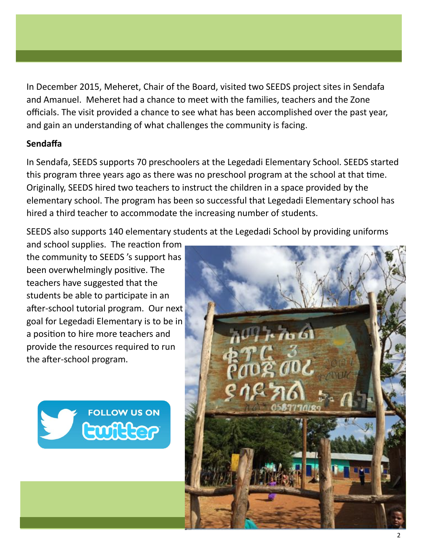In December 2015, Meheret, Chair of the Board, visited two SEEDS project sites in Sendafa and Amanuel. Meheret had a chance to meet with the families, teachers and the Zone officials. The visit provided a chance to see what has been accomplished over the past year, and gain an understanding of what challenges the community is facing.

#### **Sendafa**

In Sendafa, SEEDS supports 70 preschoolers at the Legedadi Elementary School. SEEDS started this program three years ago as there was no preschool program at the school at that tme. Originally, SEEDS hired two teachers to instruct the children in a space provided by the elementary school. The program has been so successful that Legedadi Elementary school has hired a third teacher to accommodate the increasing number of students.

SEEDS also supports 140 elementary students at the Legedadi School by providing uniforms

and school supplies. The reaction from the community to SEEDS 's support has been overwhelmingly positve. The teachers have suggested that the students be able to participate in an after-school tutorial program. Our next goal for Legedadi Elementary is to be in a positon to hire more teachers and provide the resources required to run the after-school program.



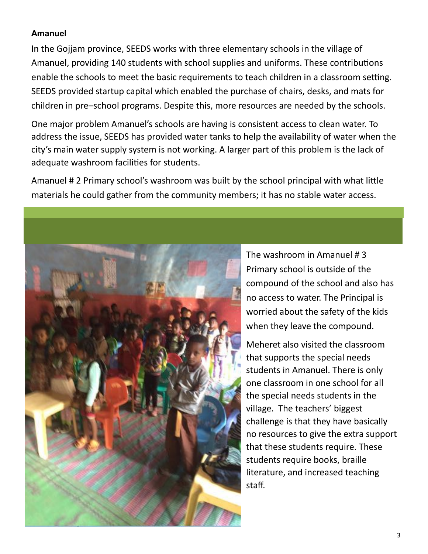#### **Amanuel**

In the Gojjam province, SEEDS works with three elementary schools in the village of Amanuel, providing 140 students with school supplies and uniforms. These contributions enable the schools to meet the basic requirements to teach children in a classroom setting. SEEDS provided startup capital which enabled the purchase of chairs, desks, and mats for children in pre–school programs. Despite this, more resources are needed by the schools.

One major problem Amanuel's schools are having is consistent access to clean water. To address the issue, SEEDS has provided water tanks to help the availability of water when the city's main water supply system is not working. A larger part of this problem is the lack of adequate washroom facilities for students.

Amanuel # 2 Primary school's washroom was built by the school principal with what litle materials he could gather from the community members; it has no stable water access.



The washroom in Amanuel # 3 Primary school is outside of the compound of the school and also has no access to water. The Principal is worried about the safety of the kids when they leave the compound.

Meheret also visited the classroom that supports the special needs students in Amanuel. There is only one classroom in one school for all the special needs students in the village. The teachers' biggest challenge is that they have basically no resources to give the extra support that these students require. These students require books, braille literature, and increased teaching staf.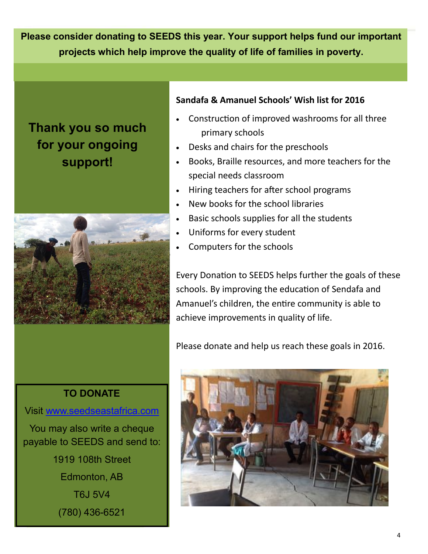**Please consider donating to SEEDS this year. Your support helps fund our important projects which help improve the quality of life of families in poverty.**

## **Thank you so much for your ongoing support!**



#### **Sandafa & Amanuel Schools' Wish list for 2016**

- Construction of improved washrooms for all three primary schools
- Desks and chairs for the preschools
- Books, Braille resources, and more teachers for the special needs classroom
- Hiring teachers for after school programs
- New books for the school libraries
- Basic schools supplies for all the students
- Uniforms for every student
- Computers for the schools

Every Donation to SEEDS helps further the goals of these schools. By improving the education of Sendafa and Amanuel's children, the entre community is able to achieve improvements in quality of life.

Please donate and help us reach these goals in 2016.

### **TO DONATE**

Visit [www.seedseastafrica.com](http://www.seedseastafrica.com)

You may also write a cheque payable to SEEDS and send to: 1919 108th Street Edmonton, AB T6J 5V4

(780) 436-6521